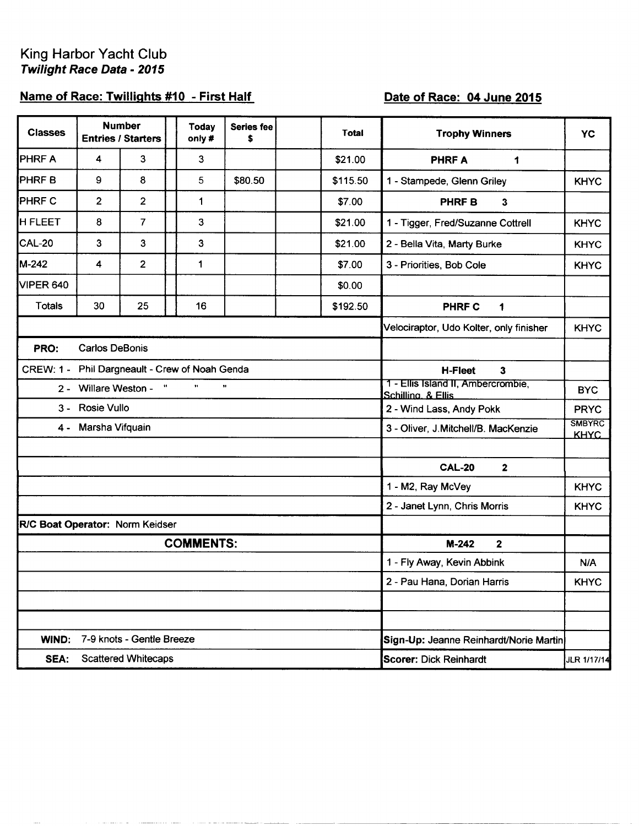## Name of Race: Twillights #10 - First Half

## Date of Race: 04 June 2015

| <b>Classes</b>                                 |                       | <b>Number</b><br><b>Entries / Starters</b> | <b>Today</b><br>only# | <b>Series fee</b><br>\$ | <b>Total</b> | <b>Trophy Winners</b>                                    | <b>YC</b>                    |
|------------------------------------------------|-----------------------|--------------------------------------------|-----------------------|-------------------------|--------------|----------------------------------------------------------|------------------------------|
| PHRF A                                         | 4                     | 3                                          | 3                     |                         | \$21.00      | <b>PHRFA</b><br>1                                        |                              |
| PHRF <sub>B</sub>                              | 9                     | 8                                          | 5                     | \$80.50                 | \$115.50     | 1 - Stampede, Glenn Griley                               | <b>KHYC</b>                  |
| PHRF C                                         | $\overline{2}$        | $\overline{2}$                             | 1                     |                         | \$7.00       | <b>PHRFB</b><br>$\mathbf{3}$                             |                              |
| <b>H FLEET</b>                                 | 8                     | $\overline{7}$                             | 3                     |                         | \$21.00      | 1 - Tigger, Fred/Suzanne Cottrell                        | <b>KHYC</b>                  |
| <b>CAL-20</b>                                  | $\mathbf{3}$          | $\overline{3}$                             | 3                     |                         | \$21.00      | 2 - Bella Vita, Marty Burke                              | <b>KHYC</b>                  |
| M-242                                          | 4                     | $\overline{2}$                             | 1                     |                         | \$7.00       | 3 - Priorities, Bob Cole                                 | <b>KHYC</b>                  |
| <b>VIPER 640</b>                               |                       |                                            |                       |                         | \$0.00       |                                                          |                              |
| <b>Totals</b>                                  | 30                    | 25                                         | 16                    |                         | \$192.50     | <b>PHRF C</b><br>1                                       |                              |
|                                                |                       |                                            |                       |                         |              | Velociraptor, Udo Kolter, only finisher                  | <b>KHYC</b>                  |
| PRO:                                           | <b>Carlos DeBonis</b> |                                            |                       |                         |              |                                                          |                              |
| CREW: 1 - Phil Dargneault - Crew of Noah Genda |                       |                                            |                       |                         |              | $\overline{\mathbf{3}}$<br><b>H-Fleet</b>                |                              |
|                                                | 2 - Willare Weston -  | $\pmb{\mathfrak{u}}$                       | $\mathbf{H}$          | $\mathbf{u}$            |              | 1 - Ellis Island II, Ambercrombie,<br>Schilling, & Ellis | <b>BYC</b>                   |
|                                                | 3 - Rosie Vullo       |                                            |                       |                         |              | 2 - Wind Lass, Andy Pokk                                 | <b>PRYC</b>                  |
|                                                | 4 - Marsha Vifquain   |                                            |                       |                         |              | 3 - Oliver, J. Mitchell/B. MacKenzie                     | <b>SMBYRC</b><br><b>KHAC</b> |
|                                                |                       |                                            |                       |                         |              |                                                          |                              |
|                                                |                       |                                            |                       |                         |              | <b>CAL-20</b><br>$\mathbf{2}$                            |                              |
|                                                |                       |                                            |                       |                         |              | 1 - M2, Ray McVey                                        | <b>KHYC</b>                  |
|                                                |                       |                                            |                       |                         |              | 2 - Janet Lynn, Chris Morris                             | <b>KHYC</b>                  |
| R/C Boat Operator: Norm Keidser                |                       |                                            |                       |                         |              |                                                          |                              |
|                                                |                       |                                            | <b>COMMENTS:</b>      |                         |              | $M-242$<br>$\overline{2}$                                |                              |
|                                                |                       |                                            |                       |                         |              | 1 - Fly Away, Kevin Abbink                               | N/A                          |
|                                                |                       |                                            |                       |                         |              | 2 - Pau Hana, Dorian Harris                              | <b>KHYC</b>                  |
|                                                |                       |                                            |                       |                         |              |                                                          |                              |
|                                                |                       |                                            |                       |                         |              |                                                          |                              |
| WIND:                                          |                       | 7-9 knots - Gentle Breeze                  |                       |                         |              | Sign-Up: Jeanne Reinhardt/Norie Martin                   |                              |
| SEA:                                           |                       | <b>Scattered Whitecaps</b>                 |                       |                         |              | <b>Scorer: Dick Reinhardt</b>                            | JLR 1/17/14                  |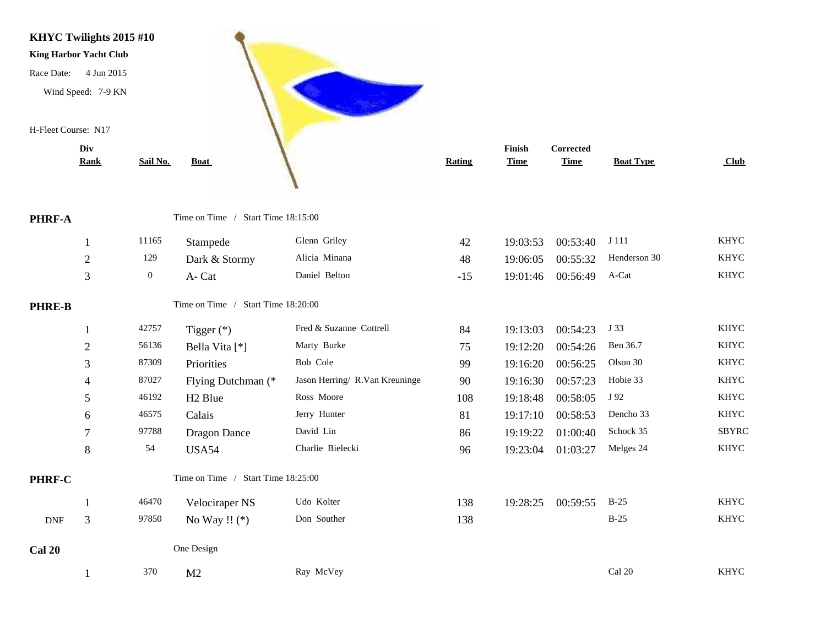

|               | DIV              |                  |                                    |                                |        | <b>FINISH</b> | Corrected   |                  |              |
|---------------|------------------|------------------|------------------------------------|--------------------------------|--------|---------------|-------------|------------------|--------------|
|               | <b>Rank</b>      | Sail No.         | <b>Boat</b>                        |                                | Rating | <b>Time</b>   | <b>Time</b> | <b>Boat Type</b> | Club         |
| PHRF-A        |                  |                  | Time on Time / Start Time 18:15:00 |                                |        |               |             |                  |              |
|               |                  | 11165            | Stampede                           | Glenn Griley                   | 42     | 19:03:53      | 00:53:40    | J 111            | <b>KHYC</b>  |
|               | $\boldsymbol{2}$ | 129              | Dark & Stormy                      | Alicia Minana                  | 48     | 19:06:05      | 00:55:32    | Henderson 30     | <b>KHYC</b>  |
|               | $\overline{3}$   | $\boldsymbol{0}$ | A-Cat                              | Daniel Belton                  | $-15$  | 19:01:46      | 00:56:49    | A-Cat            | <b>KHYC</b>  |
| <b>PHRE-B</b> |                  |                  | Time on Time / Start Time 18:20:00 |                                |        |               |             |                  |              |
|               |                  | 42757            | Tigger $(*)$                       | Fred & Suzanne Cottrell        | 84     | 19:13:03      | 00:54:23    | J 33             | <b>KHYC</b>  |
|               | $\boldsymbol{2}$ | 56136            | Bella Vita [*]                     | Marty Burke                    | 75     | 19:12:20      | 00:54:26    | Ben 36.7         | <b>KHYC</b>  |
|               | 3                | 87309            | Priorities                         | Bob Cole                       | 99     | 19:16:20      | 00:56:25    | Olson 30         | <b>KHYC</b>  |
|               | 4                | 87027            | Flying Dutchman (*                 | Jason Herring/ R.Van Kreuninge | 90     | 19:16:30      | 00:57:23    | Hobie 33         | <b>KHYC</b>  |
|               | 5                | 46192            | H <sub>2</sub> Blue                | Ross Moore                     | 108    | 19:18:48      | 00:58:05    | J 92             | <b>KHYC</b>  |
|               | 6                | 46575            | Calais                             | Jerry Hunter                   | 81     | 19:17:10      | 00:58:53    | Dencho 33        | <b>KHYC</b>  |
|               | 7                | 97788            | <b>Dragon Dance</b>                | David Lin                      | 86     | 19:19:22      | 01:00:40    | Schock 35        | <b>SBYRC</b> |
|               | 8                | 54               | <b>USA54</b>                       | Charlie Bielecki               | 96     | 19:23:04      | 01:03:27    | Melges 24        | <b>KHYC</b>  |
| <b>PHRF-C</b> |                  |                  | Time on Time / Start Time 18:25:00 |                                |        |               |             |                  |              |
|               |                  | 46470            | Velociraper NS                     | Udo Kolter                     | 138    | 19:28:25      | 00:59:55    | $B-25$           | <b>KHYC</b>  |
| <b>DNF</b>    | 3                | 97850            | No Way !! $(*)$                    | Don Souther                    | 138    |               |             | $B-25$           | <b>KHYC</b>  |
| <b>Cal 20</b> |                  |                  | One Design                         |                                |        |               |             |                  |              |
|               |                  |                  |                                    |                                |        |               |             |                  |              |

1 370 M2 Ray McVey Cal 20 Cal 20 KHYC